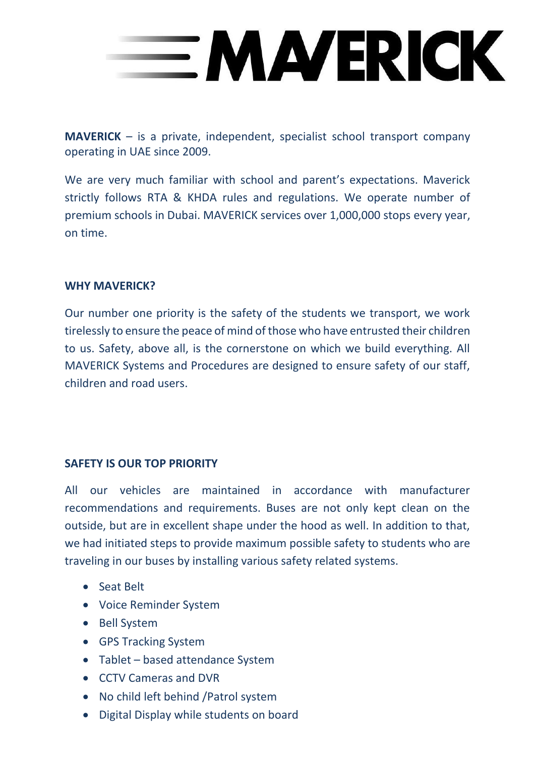

**MAVERICK** – is a private, independent, specialist school transport company operating in UAE since 2009.

We are very much familiar with school and parent's expectations. Maverick strictly follows RTA & KHDA rules and regulations. We operate number of premium schools in Dubai. MAVERICK services over 1,000,000 stops every year, on time.

## **WHY MAVERICK?**

Our number one priority is the safety of the students we transport, we work tirelessly to ensure the peace of mind of those who have entrusted their children to us. Safety, above all, is the cornerstone on which we build everything. All MAVERICK Systems and Procedures are designed to ensure safety of our staff, children and road users.

## **SAFETY IS OUR TOP PRIORITY**

All our vehicles are maintained in accordance with manufacturer recommendations and requirements. Buses are not only kept clean on the outside, but are in excellent shape under the hood as well. In addition to that, we had initiated steps to provide maximum possible safety to students who are traveling in our buses by installing various safety related systems.

- Seat Belt
- Voice Reminder System
- Bell System
- GPS Tracking System
- Tablet based attendance System
- CCTV Cameras and DVR
- No child left behind /Patrol system
- Digital Display while students on board